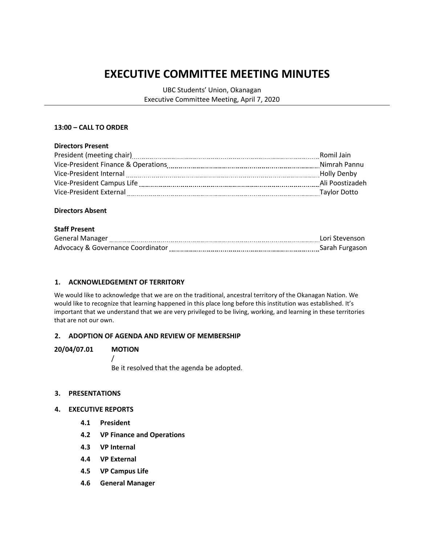# **EXECUTIVE COMMITTEE MEETING MINUTES**

UBC Students' Union, Okanagan Executive Committee Meeting, April 7, 2020

### **13:00 – CALL TO ORDER**

#### **Directors Present**

| Romil Jain                                                                           |  |
|--------------------------------------------------------------------------------------|--|
| Vice-President Finance & Operations<br>Nimrah Pannu<br>_____________________________ |  |
| Vice-President Internal<br>Holly Denby                                               |  |
| Ali Poostizadeh<br>Vice-President Campus Life                                        |  |
| Taylor Dotto<br>Vice-President External                                              |  |

#### **Directors Absent**

#### **Staff Present**

| <b>General Manager</b>                       | Lori Stevenson |
|----------------------------------------------|----------------|
| <b>Advocacy &amp; Governance Coordinator</b> | Sarah Furgason |

### **1. ACKNOWLEDGEMENT OF TERRITORY**

We would like to acknowledge that we are on the traditional, ancestral territory of the Okanagan Nation. We would like to recognize that learning happened in this place long before this institution was established. It's important that we understand that we are very privileged to be living, working, and learning in these territories that are not our own.

#### **2. ADOPTION OF AGENDA AND REVIEW OF MEMBERSHIP**

#### **20/04/07.01 MOTION**

/ Be it resolved that the agenda be adopted.

#### **3. PRESENTATIONS**

#### **4. EXECUTIVE REPORTS**

- **4.1 President**
- **4.2 VP Finance and Operations**
- **4.3 VP Internal**
- **4.4 VP External**
- **4.5 VP Campus Life**
- **4.6 General Manager**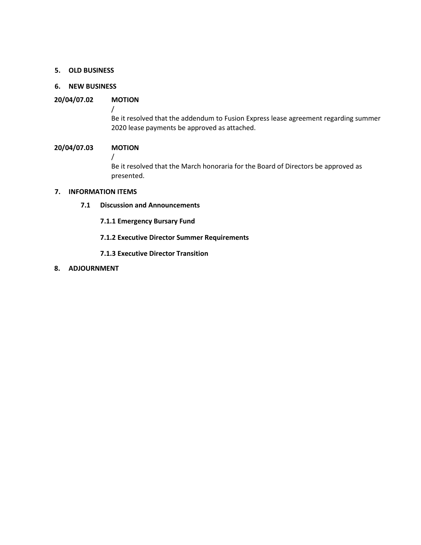#### **5. OLD BUSINESS**

# **6. NEW BUSINESS**

# **20/04/07.02 MOTION**

Be it resolved that the addendum to Fusion Express lease agreement regarding summer 2020 lease payments be approved as attached.

### **20/04/07.03 MOTION**

/

/

Be it resolved that the March honoraria for the Board of Directors be approved as presented.

## **7. INFORMATION ITEMS**

- **7.1 Discussion and Announcements**
	- **7.1.1 Emergency Bursary Fund**
	- **7.1.2 Executive Director Summer Requirements**
	- **7.1.3 Executive Director Transition**
- **8. ADJOURNMENT**